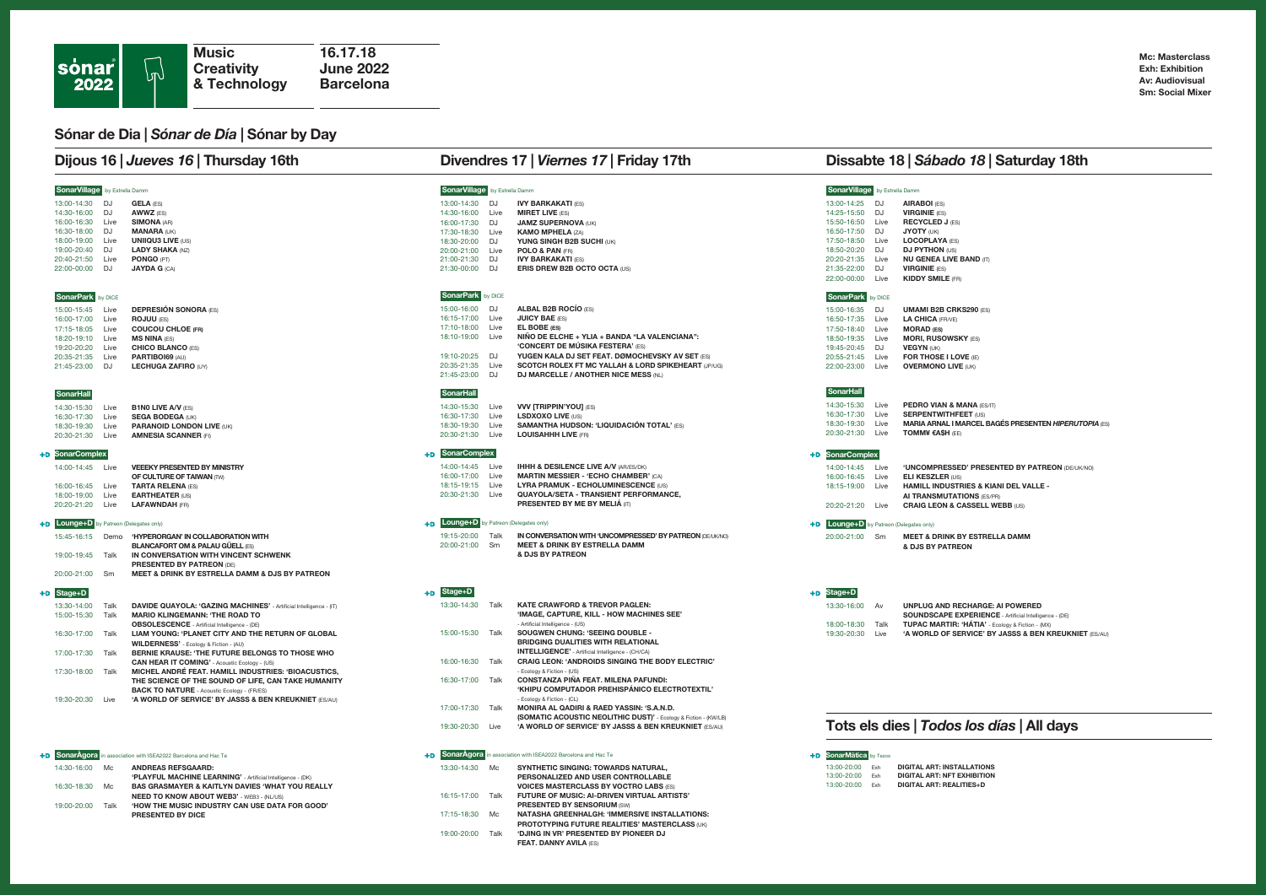### Sónar de Dia | Sónar de Día | Sónar by Day

PRESENTED BY DICE

|                                         |                           | Dijous 16   Jueves 16   Thursday 16th                                              |                                      |              | Divendres 17   Viernes 17   Friday 17th                                                                                   |                                         |      | Dissabte 18   Sábado 18   Saturday 18th                                 |
|-----------------------------------------|---------------------------|------------------------------------------------------------------------------------|--------------------------------------|--------------|---------------------------------------------------------------------------------------------------------------------------|-----------------------------------------|------|-------------------------------------------------------------------------|
| SonarVillage by Estrella Damm           |                           |                                                                                    | SonarVillage by Estrella Damm        |              |                                                                                                                           | SonarVillage by Estrella Damm           |      |                                                                         |
| 13:00-14:30 DJ                          | <b>GELA (ES)</b>          |                                                                                    | 13:00-14:30                          | DJ           | <b>IVY BARKAKATI (ES)</b>                                                                                                 | 13:00-14:25                             | DJ   | <b>AIRABOI</b> (ES)                                                     |
| 14:30-16:00 DJ                          | AWWZ (ES)                 |                                                                                    | 14:30-16:00                          | Live         | <b>MIRET LIVE (ES)</b>                                                                                                    | 14:25-15:50 DJ                          |      | <b>VIRGINIE</b> (ES)                                                    |
| 16:00-16:30 Live                        | <b>SIMONA (AR)</b>        |                                                                                    | 16:00-17:30 DJ                       |              | JAMZ SUPERNOVA (UK)                                                                                                       | 15:50-16:50 Live                        |      | <b>RECYCLED J (ES)</b>                                                  |
| 16:30-18:00 DJ                          | <b>MANARA (UK)</b>        |                                                                                    | 17:30-18:30 Live                     |              | <b>KAMO MPHELA (ZA)</b>                                                                                                   | 16:50-17:50 DJ                          |      | <b>JYOTY (UK)</b>                                                       |
| 18:00-19:00 Live                        | <b>UNIIQU3 LIVE (US)</b>  |                                                                                    | 18:30-20:00 DJ                       |              | YUNG SINGH B2B SUCHI (UK)                                                                                                 | 17:50-18:50 Live                        |      | <b>LOCOPLAYA (ES)</b>                                                   |
| 19:00-20:40 DJ                          | <b>LADY SHAKA (NZ)</b>    |                                                                                    | 20:00-21:00 Live                     |              | POLO & PAN (FR)                                                                                                           | 18:50-20:20 DJ                          |      | <b>DJ PYTHON (US)</b>                                                   |
| 20:40-21:50 Live                        | PONGO (PT)                |                                                                                    | 21:00-21:30 DJ                       |              | <b>IVY BARKAKATI (ES)</b>                                                                                                 | 20:20-21:35 Live                        |      | <b>NU GENEA LIVE BAND (IT)</b>                                          |
| 22:00-00:00 DJ                          | <b>JAYDA G (CA)</b>       |                                                                                    | 21:30-00:00 DJ                       |              | ERIS DREW B2B OCTO OCTA (US)                                                                                              | 21:35-22:00 DJ<br>22:00-00:00 Live      |      | <b>VIRGINIE</b> (ES)<br><b>KIDDY SMILE (FR)</b>                         |
| SonarPark by DICE                       |                           |                                                                                    | SonarPark by DICE                    |              |                                                                                                                           | SonarPark by DICE                       |      |                                                                         |
| 15:00-15:45 Live                        |                           | <b>DEPRESIÓN SONORA (ES)</b>                                                       | 15:00-16:00                          | DJ           | ALBAL B2B ROCIO (ES)                                                                                                      | 15:00-16:35                             | DJ   | <b>UMAMI B2B CRKS290 (ES</b>                                            |
| 16:00-17:00 Live                        | <b>ROJUU (ES)</b>         |                                                                                    | 16:15-17:00                          | Live         | <b>JUICY BAE (ES)</b>                                                                                                     | 16:50-17:35 Live                        |      | LA CHICA (FR/VE)                                                        |
| 17:15-18:05 Live                        | <b>COUCOU CHLOE (FR)</b>  |                                                                                    | 17:10-18:00 Live                     |              | EL BOBE (ES)                                                                                                              | 17:50-18:40 Live                        |      | <b>MORAD (ES)</b>                                                       |
| 18:20-19:10 Live                        | <b>MS NINA (ES)</b>       |                                                                                    | 18:10-19:00 Live                     |              | NIÑO DE ELCHE + YLIA + BANDA "LA VALENCIANA":                                                                             | 18:50-19:35 Live                        |      | <b>MORI, RUSOWSKY (ES)</b>                                              |
| 19:20-20:20 Live                        | <b>CHICO BLANCO (ES)</b>  |                                                                                    |                                      |              | <b>'CONCERT DE MÚSIKA FESTERA' (ES)</b>                                                                                   | 19:45-20:45 DJ                          |      | <b>VEGYN (UK)</b>                                                       |
| 20:35-21:35 Live                        | PARTIBOI69 (AU)           |                                                                                    | 19:10-20:25 DJ                       |              | YUGEN KALA DJ SET FEAT. DØMOCHEVSKY AV SET (ES)                                                                           | 20:55-21:45 Live                        |      | FOR THOSE I LOVE (IE)                                                   |
| 21:45-23:00 DJ                          |                           | LECHUGA ZAFIRO (UY)                                                                | 20:35-21:35 Live<br>21:45-23:00      | DJ           | SCOTCH ROLEX FT MC YALLAH & LORD SPIKEHEART (JP/UG)<br>DJ MARCELLE / ANOTHER NICE MESS (NL)                               | 22:00-23:00 Live                        |      | <b>OVERMONO LIVE (UK)</b>                                               |
| <b>SonarHall</b>                        |                           |                                                                                    | SonarHall                            |              |                                                                                                                           | <b>SonarHall</b>                        |      |                                                                         |
|                                         |                           |                                                                                    | 14:30-15:30                          |              |                                                                                                                           | 14:30-15:30                             | Live | <b>PEDRO VIAN &amp; MANA (ES/IT)</b>                                    |
| 14:30-15:30<br>Live                     | <b>B1N0 LIVE A/V (ES)</b> |                                                                                    |                                      | Live         | <b>VVV [TRIPPIN'YOU] (ES)</b>                                                                                             | 16:30-17:30 Live                        |      | <b>SERPENTWITHFEET (US)</b>                                             |
| 16:30-17:30 Live                        | <b>SEGA BODEGA (UK)</b>   |                                                                                    | 16:30-17:30<br>18:30-19:30           | Live<br>Live | LSDXOXO LIVE (US)<br><b>SAMANTHA HUDSON: 'LIQUIDACIÓN TOTAL' (ES)</b>                                                     | 18:30-19:30 Live                        |      | <b>MARIA ARNAL I MARCEL BAGÉS PRESENTEN HIPERUTOPIA (ES)</b>            |
| 18:30-19:30 Live<br>20:30-21:30 Live    |                           | <b>PARANOID LONDON LIVE (UK)</b><br><b>AMNESIA SCANNER (FI)</b>                    | 20:30-21:30 Live                     |              | <b>LOUISAHHH LIVE (FR)</b>                                                                                                | 20:30-21:30 Live                        |      | <b>TOMM¥ €A\$H (EE)</b>                                                 |
| <b>+D</b> SonarComplex                  |                           |                                                                                    | SonarComplex                         |              |                                                                                                                           | <b>+D</b> SonarComplex                  |      |                                                                         |
| 14:00-14:45<br>Live                     |                           | <b>VEEEKY PRESENTED BY MINISTRY</b>                                                | 14:00-14:45                          | I ive        | <b>IHHH &amp; DESILENCE LIVE A/V (AR/ES/DK)</b>                                                                           | 14:00-14:45                             | Live | 'UNCOMPRESSED' PRESENTED BY PATREON (DE/UK/NO)                          |
|                                         |                           | OF CULTURE OF TAIWAN (TW)                                                          | 16:00-17:00                          | Live         | <b>MARTIN MESSIER - 'ECHO CHAMBER' (CA)</b>                                                                               | 16:00-16:45 Live                        |      | ELI KESZLER (US)                                                        |
| 16:00-16:45 Live                        | <b>TARTA RELENA (ES)</b>  |                                                                                    | 18:15-19:15 Live                     |              | LYRA PRAMUK - ECHOLUMINESCENCE (US)                                                                                       | 18:15-19:00 Live                        |      | HAMILL INDUSTRIES & KIANI DEL VALLE -                                   |
| 18:00-19:00 Live                        | <b>EARTHEATER (US)</b>    |                                                                                    | 20:30-21:30 Live                     |              | QUAYOLA/SETA - TRANSIENT PERFORMANCE.                                                                                     |                                         |      | AI TRANSMUTATIONS (ES/PR)                                               |
| 20:20-21:20<br>Live                     | <b>LAFAWNDAH (FR)</b>     |                                                                                    |                                      |              | PRESENTED BY ME BY MELIÁ (IT)                                                                                             | 20:20-21:20 Live                        |      | <b>CRAIG LEON &amp; CASSELL WEBB (US)</b>                               |
| +D Lounge+D by Patreon (Delegates only) |                           |                                                                                    | Lounge+D by Patreon (Delegates only) |              |                                                                                                                           | +D Lounge+D by Patreon (Delegates only) |      |                                                                         |
| 15:45-16:15<br>Demo                     |                           | 'HYPERORGAN' IN COLLABORATION WITH                                                 | 19:15-20:00                          | Talk         | IN CONVERSATION WITH 'UNCOMPRESSED' BY PATREON (DE/UK/NO)                                                                 | 20:00-21:00                             | Sm   | <b>MEET &amp; DRINK BY ESTRELLA DAMM</b>                                |
|                                         |                           | <b>BLANCAFORT OM &amp; PALAU GÜELL (ES)</b>                                        | 20:00-21:00                          | Sm           | <b>MEET &amp; DRINK BY ESTRELLA DAMM</b>                                                                                  |                                         |      | & DJS BY PATREON                                                        |
| 19:00-19:45 Talk                        |                           | IN CONVERSATION WITH VINCENT SCHWENK                                               |                                      |              | & DJS BY PATREON                                                                                                          |                                         |      |                                                                         |
| 20:00-21:00 Sm                          |                           | <b>PRESENTED BY PATREON (DE)</b><br>MEET & DRINK BY ESTRELLA DAMM & DJS BY PATREON |                                      |              |                                                                                                                           |                                         |      |                                                                         |
| <b>+D</b> Stage+D                       |                           |                                                                                    | +D Stage+D                           |              |                                                                                                                           | <b>+D</b> Stage+D                       |      |                                                                         |
| 13:30-14:00 Talk                        |                           | DAVIDE QUAYOLA: 'GAZING MACHINES' - Artificial Intelligence - (IT)                 | 13:30-14:30                          | Talk         | KATE CRAWFORD & TREVOR PAGLEN:                                                                                            | 13:30-16:00                             | Av   | UNPLUG AND RECHARGE: AI POWERED                                         |
| 15:00-15:30 Talk                        |                           | <b>MARIO KLINGEMANN: 'THE ROAD TO</b>                                              |                                      |              | 'IMAGE, CAPTURE, KILL - HOW MACHINES SEE'                                                                                 |                                         |      | SOUNDSCAPE EXPERIENCE - Artificial Intelligence - (DE)                  |
|                                         |                           | <b>OBSOLESCENCE</b> - Artificial Intelligence - (DE)                               |                                      |              | - Artificial Intelligence - (US)                                                                                          | 18:00-18:30 Talk                        |      | TUPAC MARTIR: 'HÁTIA' - Ecology & Fiction - (MX)                        |
| 16:30-17:00 Talk                        |                           | LIAM YOUNG: 'PLANET CITY AND THE RETURN OF GLOBAL                                  | 15:00-15:30 Talk                     |              | SOUGWEN CHUNG: 'SEEING DOUBLE -                                                                                           | 19:30-20:30 Live                        |      | 'A WORLD OF SERVICE' BY JASSS & BEN KREUKNIET (ES/AU)                   |
|                                         |                           | WILDERNESS' - Ecology & Fiction - (AU)                                             |                                      |              | <b>BRIDGING DUALITIES WITH RELATIONAL</b>                                                                                 |                                         |      |                                                                         |
| 17:00-17:30 Talk                        |                           | BERNIE KRAUSE: 'THE FUTURE BELONGS TO THOSE WHO                                    |                                      |              | INTELLIGENCE' - Artificial Intelligence - (CH/CA)                                                                         |                                         |      |                                                                         |
|                                         |                           | CAN HEAR IT COMING' - Acoustic Ecology - (US)                                      | 16:00-16:30 Talk                     |              | CRAIG LEON: 'ANDROIDS SINGING THE BODY ELECTRIC'                                                                          |                                         |      |                                                                         |
| 17:30-18:00 Talk                        |                           | MICHEL ANDRÉ FEAT. HAMILL INDUSTRIES: 'BIOACUSTICS.                                |                                      |              | - Ecology & Fiction - (US)                                                                                                |                                         |      |                                                                         |
|                                         |                           | THE SCIENCE OF THE SOUND OF LIFE, CAN TAKE HUMANITY                                | 16:30-17:00 Talk                     |              | <b>CONSTANZA PIÑA FEAT. MILENA PAFUNDI:</b>                                                                               |                                         |      |                                                                         |
|                                         |                           | <b>BACK TO NATURE</b> - Acoustic Ecology - (FR/ES)                                 |                                      |              | 'KHIPU COMPUTADOR PREHISPÁNICO ELECTROTEXTIL'                                                                             |                                         |      |                                                                         |
| 19:30-20:30 Live                        |                           | 'A WORLD OF SERVICE' BY JASSS & BEN KREUKNIET (ES/AU)                              |                                      |              | - Ecology & Fiction - (CL)                                                                                                |                                         |      |                                                                         |
|                                         |                           |                                                                                    | 17:00-17:30 Talk                     |              | MONIRA AL QADIRI & RAED YASSIN: 'S.A.N.D.                                                                                 |                                         |      |                                                                         |
|                                         |                           |                                                                                    | 19:30-20:30 Live                     |              | (SOMATIC ACOUSTIC NEOLITHIC DUST)' - Ecology & Fiction - (KW/LB)<br>'A WORLD OF SERVICE' BY JASSS & BEN KREUKNIET (ES/AU) |                                         |      | Tots els dies   Todos los días   All days                               |
|                                         |                           |                                                                                    |                                      |              |                                                                                                                           |                                         |      |                                                                         |
|                                         |                           | +D SonarAgora in association with ISEA2022 Barcelona and Hac Te                    | SonarAgora                           |              | in association with ISEA2022 Barcelona and Hac Te                                                                         | +D SonarMàtica by Tezos                 |      |                                                                         |
| 14:30-16:00<br>Mc                       |                           | <b>ANDREAS REFSGAARD:</b>                                                          | 13:30-14:30                          | Mc           | SYNTHETIC SINGING: TOWARDS NATURAL,                                                                                       | $13:00 - 20:00$<br>$13:00-20:00$ Fxh    | Exh  | <b>DIGITAL ART: INSTALLATIONS</b><br><b>DIGITAL ART: NFT EXHIBITION</b> |
|                                         |                           | 'PLAYFUL MACHINE LEARNING' - Artificial Intelligence - (DK)                        |                                      |              | PERSONALIZED AND USER CONTROLLABLE                                                                                        | 13:00-20:00 Exh                         |      | <b>DIGITAL ART: REALITIES+D</b>                                         |
| 16:30-18:30 Mc                          |                           | BAS GRASMAYER & KAITLYN DAVIES 'WHAT YOU REALLY                                    |                                      |              | <b>VOICES MASTERCLASS BY VOCTRO LABS (ES)</b>                                                                             |                                         |      |                                                                         |
|                                         |                           | NEED TO KNOW ABOUT WEB3' - WEB3 - (NL/US)                                          | 16:15-17:00 Talk                     |              | FUTURE OF MUSIC: AI-DRIVEN VIRTUAL ARTISTS'                                                                               |                                         |      |                                                                         |
| 19:00-20:00 Talk                        |                           | 'HOW THE MUSIC INDUSTRY CAN USE DATA FOR GOOD'                                     |                                      |              | <b>PRESENTED BY SENSORIUM (SW)</b>                                                                                        |                                         |      |                                                                         |

THESENTED BY SENSOTION (SM)<br>17:15-18:30 Mc NATASHA GREENHALGH: 'IMMERSIVE INSTALLATIONS:

19:00-20:00 Talk 'DJING IN VR' PRESENTED BY PIONEER DJ FEAT. DANNY AVILA (ES)

PROTOTYPING FUTURE REALITIES' MASTERCLASS (UK)

Mc: Masterclass Exh: Exhibition Av: Audiovisual Sm: Social Mixer